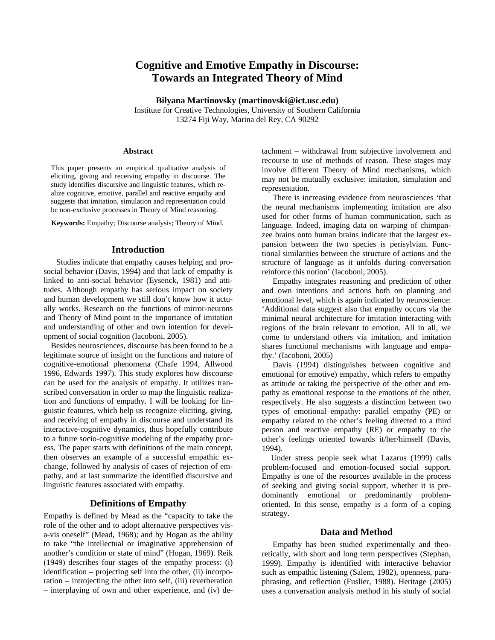# **Cognitive and Emotive Empathy in Discourse: Towards an Integrated Theory of Mind**

**Bilyana Martinovsky (martinovski@ict.usc.edu)**  Institute for Creative Technologies, University of Southern California 13274 Fiji Way, Marina del Rey, CA 90292

#### **Abstract**

This paper presents an empirical qualitative analysis of eliciting, giving and receiving empathy in discourse. The study identifies discursive and linguistic features, which realize cognitive, emotive, parallel and reactive empathy and suggests that imitation, simulation and representation could be non-exclusive processes in Theory of Mind reasoning.

**Keywords:** Empathy; Discourse analysis; Theory of Mind.

## **Introduction**

Studies indicate that empathy causes helping and prosocial behavior (Davis, 1994) and that lack of empathy is linked to anti-social behavior (Eysenck, 1981) and attitudes. Although empathy has serious impact on society and human development we still don't know how it actually works. Research on the functions of mirror-neurons and Theory of Mind point to the importance of imitation and understanding of other and own intention for development of social cognition (Iacoboni, 2005).

Besides neurosciences, discourse has been found to be a legitimate source of insight on the functions and nature of cognitive-emotional phenomena (Chafe 1994, Allwood 1996, Edwards 1997). This study explores how discourse can be used for the analysis of empathy. It utilizes transcribed conversation in order to map the linguistic realization and functions of empathy. I will be looking for linguistic features, which help us recognize eliciting, giving, and receiving of empathy in discourse and understand its interactive-cognitive dynamics, thus hopefully contribute to a future socio-cognitive modeling of the empathy process. The paper starts with definitions of the main concept, then observes an example of a successful empathic exchange, followed by analysis of cases of rejection of empathy, and at last summarize the identified discursive and linguistic features associated with empathy.

## **Definitions of Empathy**

Empathy is defined by Mead as the "capacity to take the role of the other and to adopt alternative perspectives visa-vis oneself" (Mead, 1968); and by Hogan as the ability to take "the intellectual or imaginative apprehension of another's condition or state of mind" (Hogan, 1969). Reik (1949) describes four stages of the empathy process: (i) identification – projecting self into the other, (ii) incorporation – introjecting the other into self, (iii) reverberation – interplaying of own and other experience, and (iv) de-

tachment – withdrawal from subjective involvement and recourse to use of methods of reason. These stages may involve different Theory of Mind mechanisms, which may not be mutually exclusive: imitation, simulation and representation.

There is increasing evidence from neurosciences 'that the neural mechanisms implementing imitation are also used for other forms of human communication, such as language. Indeed, imaging data on warping of chimpanzee brains onto human brains indicate that the largest expansion between the two species is perisylvian. Functional similarities between the structure of actions and the structure of language as it unfolds during conversation reinforce this notion' (Iacoboni, 2005).

Empathy integrates reasoning and prediction of other and own intentions and actions both on planning and emotional level, which is again indicated by neuroscience: 'Additional data suggest also that empathy occurs via the minimal neural architecture for imitation interacting with regions of the brain relevant to emotion. All in all, we come to understand others via imitation, and imitation shares functional mechanisms with language and empathy.' (Iacoboni, 2005)

Davis (1994) distinguishes between cognitive and emotional (or emotive) empathy, which refers to empathy as attitude or taking the perspective of the other and empathy as emotional response to the emotions of the other, respectively. He also suggests a distinction between two types of emotional empathy: parallel empathy (PE) or empathy related to the other's feeling directed to a third person and reactive empathy (RE) or empathy to the other's feelings oriented towards it/her/himself (Davis, 1994).

Under stress people seek what Lazarus (1999) calls problem-focused and emotion-focused social support. Empathy is one of the resources available in the process of seeking and giving social support, whether it is predominantly emotional or predominantly problemoriented. In this sense, empathy is a form of a coping strategy.

# **Data and Method**

Empathy has been studied experimentally and theoretically, with short and long term perspectives (Stephan, 1999). Empathy is identified with interactive behavior such as empathic listening (Salem, 1982), openness, paraphrasing, and reflection (Fuslier, 1988). Heritage (2005) uses a conversation analysis method in his study of social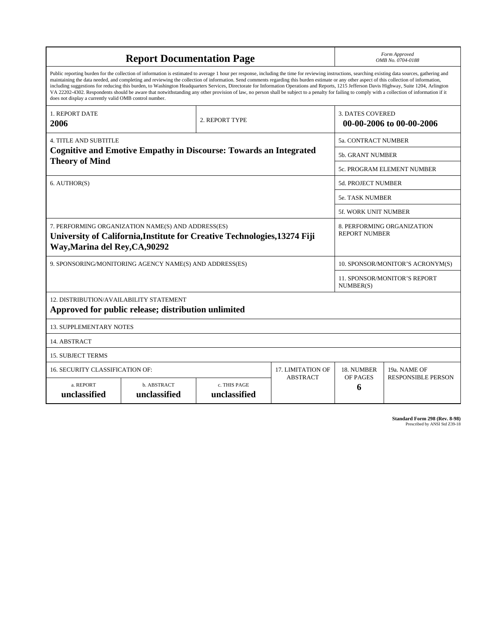| <b>Report Documentation Page</b>                                                                                                                                                                                                                                                                                                                                                                                                                                                                                                                                                                                                                                                                                                                                                                                                                                   |                             |                              |                 | Form Approved<br>OMB No. 0704-0188                  |                           |
|--------------------------------------------------------------------------------------------------------------------------------------------------------------------------------------------------------------------------------------------------------------------------------------------------------------------------------------------------------------------------------------------------------------------------------------------------------------------------------------------------------------------------------------------------------------------------------------------------------------------------------------------------------------------------------------------------------------------------------------------------------------------------------------------------------------------------------------------------------------------|-----------------------------|------------------------------|-----------------|-----------------------------------------------------|---------------------------|
| Public reporting burden for the collection of information is estimated to average 1 hour per response, including the time for reviewing instructions, searching existing data sources, gathering and<br>maintaining the data needed, and completing and reviewing the collection of information. Send comments regarding this burden estimate or any other aspect of this collection of information,<br>including suggestions for reducing this burden, to Washington Headquarters Services, Directorate for Information Operations and Reports, 1215 Jefferson Davis Highway, Suite 1204, Arlington<br>VA 22202-4302. Respondents should be aware that notwithstanding any other provision of law, no person shall be subject to a penalty for failing to comply with a collection of information if it<br>does not display a currently valid OMB control number. |                             |                              |                 |                                                     |                           |
| <b>1. REPORT DATE</b><br>2006                                                                                                                                                                                                                                                                                                                                                                                                                                                                                                                                                                                                                                                                                                                                                                                                                                      | 2. REPORT TYPE              |                              |                 | <b>3. DATES COVERED</b><br>00-00-2006 to 00-00-2006 |                           |
| <b>4. TITLE AND SUBTITLE</b>                                                                                                                                                                                                                                                                                                                                                                                                                                                                                                                                                                                                                                                                                                                                                                                                                                       |                             |                              |                 | 5a. CONTRACT NUMBER                                 |                           |
| <b>Cognitive and Emotive Empathy in Discourse: Towards an Integrated</b><br><b>Theory of Mind</b>                                                                                                                                                                                                                                                                                                                                                                                                                                                                                                                                                                                                                                                                                                                                                                  |                             |                              |                 | <b>5b. GRANT NUMBER</b>                             |                           |
|                                                                                                                                                                                                                                                                                                                                                                                                                                                                                                                                                                                                                                                                                                                                                                                                                                                                    |                             |                              |                 | 5c. PROGRAM ELEMENT NUMBER                          |                           |
| 6. AUTHOR(S)                                                                                                                                                                                                                                                                                                                                                                                                                                                                                                                                                                                                                                                                                                                                                                                                                                                       |                             |                              |                 | <b>5d. PROJECT NUMBER</b>                           |                           |
|                                                                                                                                                                                                                                                                                                                                                                                                                                                                                                                                                                                                                                                                                                                                                                                                                                                                    |                             |                              |                 | <b>5e. TASK NUMBER</b>                              |                           |
|                                                                                                                                                                                                                                                                                                                                                                                                                                                                                                                                                                                                                                                                                                                                                                                                                                                                    |                             |                              |                 | <b>5f. WORK UNIT NUMBER</b>                         |                           |
| 7. PERFORMING ORGANIZATION NAME(S) AND ADDRESS(ES)<br>University of California, Institute for Creative Technologies, 13274 Fiji<br>Way, Marina del Rey, CA, 90292                                                                                                                                                                                                                                                                                                                                                                                                                                                                                                                                                                                                                                                                                                  |                             |                              |                 | 8. PERFORMING ORGANIZATION<br><b>REPORT NUMBER</b>  |                           |
| 9. SPONSORING/MONITORING AGENCY NAME(S) AND ADDRESS(ES)                                                                                                                                                                                                                                                                                                                                                                                                                                                                                                                                                                                                                                                                                                                                                                                                            |                             |                              |                 | 10. SPONSOR/MONITOR'S ACRONYM(S)                    |                           |
|                                                                                                                                                                                                                                                                                                                                                                                                                                                                                                                                                                                                                                                                                                                                                                                                                                                                    |                             |                              |                 | <b>11. SPONSOR/MONITOR'S REPORT</b><br>NUMBER(S)    |                           |
| 12. DISTRIBUTION/AVAILABILITY STATEMENT<br>Approved for public release; distribution unlimited                                                                                                                                                                                                                                                                                                                                                                                                                                                                                                                                                                                                                                                                                                                                                                     |                             |                              |                 |                                                     |                           |
| <b>13. SUPPLEMENTARY NOTES</b>                                                                                                                                                                                                                                                                                                                                                                                                                                                                                                                                                                                                                                                                                                                                                                                                                                     |                             |                              |                 |                                                     |                           |
| 14. ABSTRACT                                                                                                                                                                                                                                                                                                                                                                                                                                                                                                                                                                                                                                                                                                                                                                                                                                                       |                             |                              |                 |                                                     |                           |
| <b>15. SUBJECT TERMS</b>                                                                                                                                                                                                                                                                                                                                                                                                                                                                                                                                                                                                                                                                                                                                                                                                                                           |                             |                              |                 |                                                     |                           |
| 16. SECURITY CLASSIFICATION OF:<br><b>17. LIMITATION OF</b>                                                                                                                                                                                                                                                                                                                                                                                                                                                                                                                                                                                                                                                                                                                                                                                                        |                             |                              |                 | 18. NUMBER                                          | 19a. NAME OF              |
| a. REPORT<br>unclassified                                                                                                                                                                                                                                                                                                                                                                                                                                                                                                                                                                                                                                                                                                                                                                                                                                          | b. ABSTRACT<br>unclassified | c. THIS PAGE<br>unclassified | <b>ABSTRACT</b> | OF PAGES<br>6                                       | <b>RESPONSIBLE PERSON</b> |

**Standard Form 298 (Rev. 8-98)**<br>Prescribed by ANSI Std Z39-18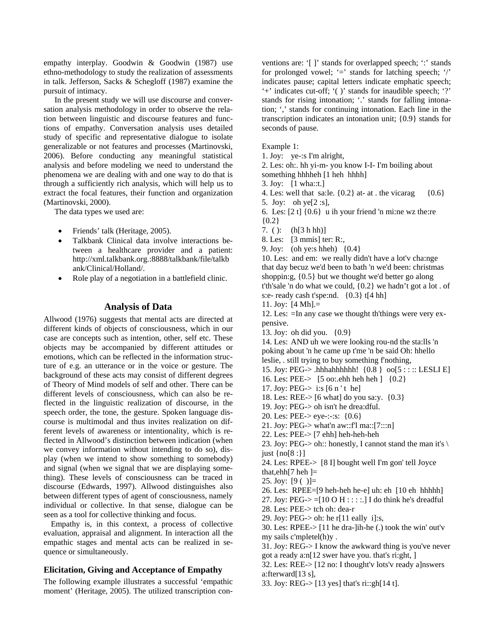empathy interplay. Goodwin & Goodwin (1987) use ethno-methodology to study the realization of assessments in talk. Jefferson, Sacks & Schegloff (1987) examine the pursuit of intimacy.

In the present study we will use discourse and conversation analysis methodology in order to observe the relation between linguistic and discourse features and functions of empathy. Conversation analysis uses detailed study of specific and representative dialogue to isolate generalizable or not features and processes (Martinovski, 2006). Before conducting any meaningful statistical analysis and before modeling we need to understand the phenomena we are dealing with and one way to do that is through a sufficiently rich analysis, which will help us to extract the focal features, their function and organization (Martinovski, 2000).

The data types we used are:

- Friends' talk (Heritage, 2005).
- Talkbank Clinical data involve interactions between a healthcare provider and a patient: http://xml.talkbank.org.:8888/talkbank/file/talkb ank/Clinical/Holland/.
- Role play of a negotiation in a battlefield clinic.

#### **Analysis of Data**

Allwood (1976) suggests that mental acts are directed at different kinds of objects of consciousness, which in our case are concepts such as intention, other, self etc. These objects may be accompanied by different attitudes or emotions, which can be reflected in the information structure of e.g. an utterance or in the voice or gesture. The background of these acts may consist of different degrees of Theory of Mind models of self and other. There can be different levels of consciousness, which can also be reflected in the linguistic realization of discourse, in the speech order, the tone, the gesture. Spoken language discourse is multimodal and thus invites realization on different levels of awareness or intentionality, which is reflected in Allwood's distinction between indication (when we convey information without intending to do so), display (when we intend to show something to somebody) and signal (when we signal that we are displaying something). These levels of consciousness can be traced in discourse (Edwards, 1997). Allwood distinguishes also between different types of agent of consciousness, namely individual or collective. In that sense, dialogue can be seen as a tool for collective thinking and focus.

Empathy is, in this context, a process of collective evaluation, appraisal and alignment. In interaction all the empathic stages and mental acts can be realized in sequence or simultaneously.

#### **Elicitation, Giving and Acceptance of Empathy**

The following example illustrates a successful 'empathic moment' (Heritage, 2005). The utilized transcription conventions are: '[ ]' stands for overlapped speech; ':' stands for prolonged vowel;  $\equiv$  stands for latching speech;  $\gamma$ indicates pause; capital letters indicate emphatic speech; '+' indicates cut-off; '( )' stands for inaudible speech; '?' stands for rising intonation; '.' stands for falling intonation; ',' stands for continuing intonation. Each line in the transcription indicates an intonation unit; {0.9} stands for seconds of pause.

#### Example 1:

- 1. Joy: ye-:s I'm alright,
- 2. Les: oh:. hh yi-m- you know I-I- I'm boiling about
- something hhhheh [1 heh hhhh]
- 3. Joy: [1 wha::t.]
- 4. Les: well that sa:le.  ${0.2}$  at- at . the vicarag  ${0.6}$
- 5. Joy: oh ye[2 :s],
- 6. Les:  $[2 \t1]$   $\{0.6\}$  u ih your friend 'n mi:ne wz the:re  ${0.2}$
- 7. ( ):  $(h[3 h h])$
- 8. Les: [3 mmis] ter: R:,
- 9. Joy: (oh ye:s hheh) {0.4}

10. Les: and em: we really didn't have a lot'v cha:nge that day becuz we'd been to bath 'n we'd been: christmas shoppin:g, {0.5} but we thought we'd better go along t'th'sale 'n do what we could, {0.2} we hadn't got a lot . of s:e- ready cash t'spe:nd. {0.3} t[4 hh]

- 11. Joy:  $[4 \text{ Mh}] =$
- 12. Les: =In any case we thought th'things were very expensive.
- 13. Joy: oh did you. {0.9}

14. Les: AND uh we were looking rou-nd the sta:lls 'n poking about 'n he came up t'me 'n be said Oh: hhello leslie, . still trying to buy something f'nothing,

- 15. Joy: PEG-> .hhhahhhhhh! {0.8 } oo[5 : : :: LESLI E]
- 16. Les: PEE-> [5 oo:.ehh heh heh ] {0.2}
- 17. Joy: PEG- $>$  i:s [6 n't he]
- 18. Les: REE-> [6 what] do you sa:y. {0.3}
- 19. Joy: PEG-> oh isn't he drea:dful.
- 20. Les: PEE-> eye-:-:s: {0.6}
- 21. Joy: PEG-> what'n aw::f'l ma::[7:::n]
- 22. Les: PEE-> [7 ehh] heh-heh-heh
- 23. Joy: PEG-> oh:: honestly, I cannot stand the man it's  $\setminus$ just {no[8 :}]

24. Les: RPEE-> [8 I] bought well I'm gon' tell Joyce that,  $ehh[7$  heh  $]=$ 

- 25. Joy:  $[9( )]=$
- 26. Les: RPEE=[9 heh-heh he-e] uh: eh [10 eh hhhhh]
- 27. Joy: PEG- $>=[10 \text{ O H} : : : :].]$  I do think he's dreadful
- 28. Les: PEE-> tch oh: dea-r
- 29. Joy: PEG- $>$  oh: he r[11 eally i]:s,

30. Les: RPEE-> [11 he dra-]ih-he (.) took the win' out'v my sails c'mpletel(h)y .

31. Joy: REG-> I know the awkward thing is you've never got a ready a:n[12 swer have you. that's ri:ght, ]

32. Les: REE-> [12 no: I thought'v lots'v ready a]nswers a:fterward[13 s],

33. Joy: REG-> [13 yes] that's ri::gh[14 t].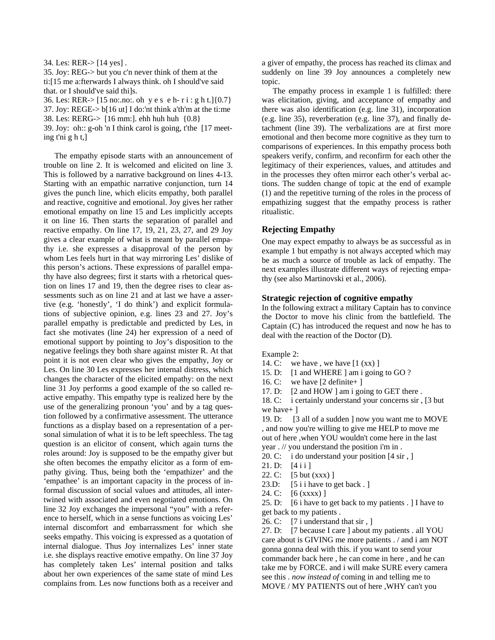34. Les: RER-> [14 yes] .

35. Joy: REG-> but you c'n never think of them at the ti:[15 me a:fterwards I always think. oh I should've said that. or I should've said thi]s.

36. Les: RER-> [15 no:.no:. oh y e s e h- r i : g h t.]{0.7}

37. Joy: REGE-> b[16 ut] I do:'nt think a'th'm at the ti:me

38. Les: RERG-> [16 mm:]. ehh huh huh {0.8}

39. Joy: oh:: g-oh 'n I think carol is going, t'the [17 meeting t'ni g h t,]

The empathy episode starts with an announcement of trouble on line 2. It is welcomed and elicited on line 3. This is followed by a narrative background on lines 4-13. Starting with an empathic narrative conjunction, turn 14 gives the punch line, which elicits empathy, both parallel and reactive, cognitive and emotional. Joy gives her rather emotional empathy on line 15 and Les implicitly accepts it on line 16. Then starts the separation of parallel and reactive empathy. On line 17, 19, 21, 23, 27, and 29 Joy gives a clear example of what is meant by parallel empathy i.e. she expresses a disapproval of the person by whom Les feels hurt in that way mirroring Les' dislike of this person's actions. These expressions of parallel empathy have also degrees; first it starts with a rhetorical question on lines 17 and 19, then the degree rises to clear assessments such as on line 21 and at last we have a assertive (e.g. 'honestly', 'I do think') and explicit formulations of subjective opinion, e.g. lines 23 and 27. Joy's parallel empathy is predictable and predicted by Les, in fact she motivates (line 24) her expression of a need of emotional support by pointing to Joy's disposition to the negative feelings they both share against mister R. At that point it is not even clear who gives the empathy, Joy or Les. On line 30 Les expresses her internal distress, which changes the character of the elicited empathy: on the next line 31 Joy performs a good example of the so called reactive empathy. This empathy type is realized here by the use of the generalizing pronoun 'you' and by a tag question followed by a confirmative assessment. The utterance functions as a display based on a representation of a personal simulation of what it is to be left speechless. The tag question is an elicitor of consent, which again turns the roles around: Joy is supposed to be the empathy giver but she often becomes the empathy elicitor as a form of empathy giving. Thus, being both the 'empathizer' and the 'empathee' is an important capacity in the process of informal discussion of social values and attitudes, all intertwined with associated and even negotiated emotions. On line 32 Joy exchanges the impersonal "you" with a reference to herself, which in a sense functions as voicing Les' internal discomfort and embarrassment for which she seeks empathy. This voicing is expressed as a quotation of internal dialogue. Thus Joy internalizes Les' inner state i.e. she displays reactive emotive empathy. On line 37 Joy has completely taken Les' internal position and talks about her own experiences of the same state of mind Les complains from. Les now functions both as a receiver and a giver of empathy, the process has reached its climax and suddenly on line 39 Joy announces a completely new topic.

The empathy process in example 1 is fulfilled: there was elicitation, giving, and acceptance of empathy and there was also identification (e.g. line 31), incorporation (e.g. line 35), reverberation (e.g. line 37), and finally detachment (line 39). The verbalizations are at first more emotional and then become more cognitive as they turn to comparisons of experiences. In this empathy process both speakers verify, confirm, and reconfirm for each other the legitimacy of their experiences, values, and attitudes and in the processes they often mirror each other's verbal actions. The sudden change of topic at the end of example (1) and the repetitive turning of the roles in the process of empathizing suggest that the empathy process is rather ritualistic.

## **Rejecting Empathy**

One may expect empathy to always be as successful as in example 1 but empathy is not always accepted which may be as much a source of trouble as lack of empathy. The next examples illustrate different ways of rejecting empathy (see also Martinovski et al., 2006).

## **Strategic rejection of cognitive empathy**

In the following extract a military Captain has to convince the Doctor to move his clinic from the battlefield. The Captain (C) has introduced the request and now he has to deal with the reaction of the Doctor (D).

Example 2:

14. C: we have , we have  $[1 (xx)]$ 

15. D: [1 and WHERE ] am i going to GO ?

16. C: we have [2 definite+ ]

17. D: [2 and HOW ] am i going to GET there.

18. C: i certainly understand your concerns sir , [3 but we have+ ]

19. D: [3 all of a sudden ] now you want me to MOVE , and now you're willing to give me HELP to move me out of here ,when YOU wouldn't come here in the last year . // you understand the position i'm in .

- 20. C: i do understand your position [4 sir , ]
- 21. D: [4 i i ]
- 22. C: [5 but (xxx) ]
- 23.D:  $[5 \text{ i } i$  have to get back . ]
- 24. C: [6 (xxxx) ]

25. D: [6 i have to get back to my patients . ] I have to get back to my patients .

26. C: [7 i understand that sir , ]

27. D: [7 because I care ] about my patients . all YOU care about is GIVING me more patients . / and i am NOT gonna gonna deal with this. if you want to send your commander back here , he can come in here , and he can take me by FORCE. and i will make SURE every camera see this . *now instead of* coming in and telling me to MOVE / MY PATIENTS out of here ,WHY can't you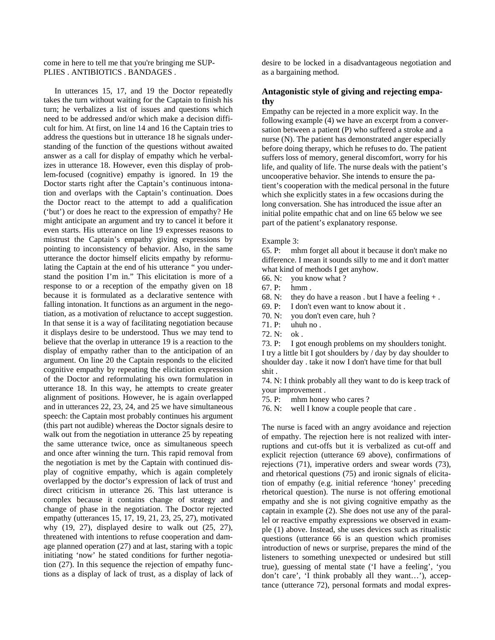come in here to tell me that you're bringing me SUP-PLIES . ANTIBIOTICS . BANDAGES .

In utterances 15, 17, and 19 the Doctor repeatedly takes the turn without waiting for the Captain to finish his turn; he verbalizes a list of issues and questions which need to be addressed and/or which make a decision difficult for him. At first, on line 14 and 16 the Captain tries to address the questions but in utterance 18 he signals understanding of the function of the questions without awaited answer as a call for display of empathy which he verbalizes in utterance 18. However, even this display of problem-focused (cognitive) empathy is ignored. In 19 the Doctor starts right after the Captain's continuous intonation and overlaps with the Captain's continuation. Does the Doctor react to the attempt to add a qualification ('but') or does he react to the expression of empathy? He might anticipate an argument and try to cancel it before it even starts. His utterance on line 19 expresses reasons to mistrust the Captain's empathy giving expressions by pointing to inconsistency of behavior. Also, in the same utterance the doctor himself elicits empathy by reformulating the Captain at the end of his utterance " you understand the position I'm in." This elicitation is more of a response to or a reception of the empathy given on 18 because it is formulated as a declarative sentence with falling intonation. It functions as an argument in the negotiation, as a motivation of reluctance to accept suggestion. In that sense it is a way of facilitating negotiation because it displays desire to be understood. Thus we may tend to believe that the overlap in utterance 19 is a reaction to the display of empathy rather than to the anticipation of an argument. On line 20 the Captain responds to the elicited cognitive empathy by repeating the elicitation expression of the Doctor and reformulating his own formulation in utterance 18. In this way, he attempts to create greater alignment of positions. However, he is again overlapped and in utterances 22, 23, 24, and 25 we have simultaneous speech: the Captain most probably continues his argument (this part not audible) whereas the Doctor signals desire to walk out from the negotiation in utterance 25 by repeating the same utterance twice, once as simultaneous speech and once after winning the turn. This rapid removal from the negotiation is met by the Captain with continued display of cognitive empathy, which is again completely overlapped by the doctor's expression of lack of trust and direct criticism in utterance 26. This last utterance is complex because it contains change of strategy and change of phase in the negotiation. The Doctor rejected empathy (utterances 15, 17, 19, 21, 23, 25, 27), motivated why (19, 27), displayed desire to walk out (25, 27), threatened with intentions to refuse cooperation and damage planned operation (27) and at last, staring with a topic initiating 'now' he stated conditions for further negotiation (27). In this sequence the rejection of empathy functions as a display of lack of trust, as a display of lack of

desire to be locked in a disadvantageous negotiation and as a bargaining method.

# **Antagonistic style of giving and rejecting empathy**

Empathy can be rejected in a more explicit way. In the following example (4) we have an excerpt from a conversation between a patient (P) who suffered a stroke and a nurse (N). The patient has demonstrated anger especially before doing therapy, which he refuses to do. The patient suffers loss of memory, general discomfort, worry for his life, and quality of life. The nurse deals with the patient's uncooperative behavior. She intends to ensure the patient's cooperation with the medical personal in the future which she explicitly states in a few occasions during the long conversation. She has introduced the issue after an initial polite empathic chat and on line 65 below we see part of the patient's explanatory response.

#### Example 3:

65. P: mhm forget all about it because it don't make no difference. I mean it sounds silly to me and it don't matter what kind of methods I get anyhow.

66. N: you know what ?

67. P: hmm .

68. N: they do have a reason. but I have a feeling  $+$ .

69. P: I don't even want to know about it .

70. N: you don't even care, huh ?

71. P: uhuh no .

72. N: ok .

73. P: I got enough problems on my shoulders tonight. I try a little bit I got shoulders by / day by day shoulder to

shoulder day . take it now I don't have time for that bull shit .

74. N: I think probably all they want to do is keep track of your improvement .

75. P: mhm honey who cares ?

76. N: well I know a couple people that care .

The nurse is faced with an angry avoidance and rejection of empathy. The rejection here is not realized with interruptions and cut-offs but it is verbalized as cut-off and explicit rejection (utterance 69 above), confirmations of rejections (71), imperative orders and swear words (73), and rhetorical questions (75) and ironic signals of elicitation of empathy (e.g. initial reference 'honey' preceding rhetorical question). The nurse is not offering emotional empathy and she is not giving cognitive empathy as the captain in example (2). She does not use any of the parallel or reactive empathy expressions we observed in example (1) above. Instead, she uses devices such as ritualistic questions (utterance 66 is an question which promises introduction of news or surprise, prepares the mind of the listeners to something unexpected or undesired but still true), guessing of mental state ('I have a feeling', 'you don't care', 'I think probably all they want…'), acceptance (utterance 72), personal formats and modal expres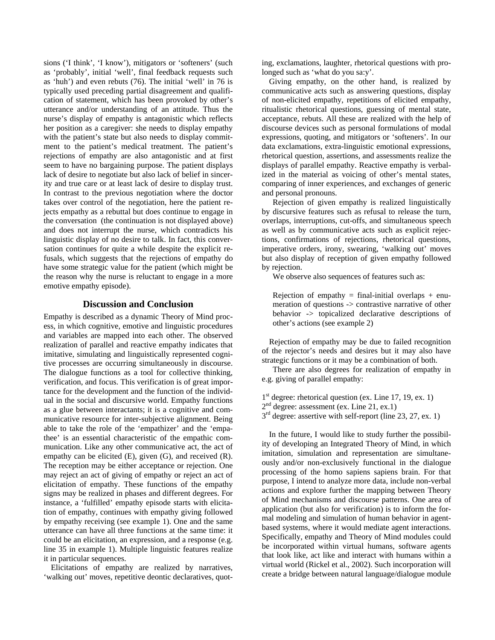sions ('I think', 'I know'), mitigators or 'softeners' (such as 'probably', initial 'well', final feedback requests such as 'huh') and even rebuts (76). The initial 'well' in 76 is typically used preceding partial disagreement and qualification of statement, which has been provoked by other's utterance and/or understanding of an attitude. Thus the nurse's display of empathy is antagonistic which reflects her position as a caregiver: she needs to display empathy with the patient's state but also needs to display commitment to the patient's medical treatment. The patient's rejections of empathy are also antagonistic and at first seem to have no bargaining purpose. The patient displays lack of desire to negotiate but also lack of belief in sincerity and true care or at least lack of desire to display trust. In contrast to the previous negotiation where the doctor takes over control of the negotiation, here the patient rejects empathy as a rebuttal but does continue to engage in the conversation (the continuation is not displayed above) and does not interrupt the nurse, which contradicts his linguistic display of no desire to talk. In fact, this conversation continues for quite a while despite the explicit refusals, which suggests that the rejections of empathy do have some strategic value for the patient (which might be the reason why the nurse is reluctant to engage in a more emotive empathy episode).

#### **Discussion and Conclusion**

Empathy is described as a dynamic Theory of Mind process, in which cognitive, emotive and linguistic procedures and variables are mapped into each other. The observed realization of parallel and reactive empathy indicates that imitative, simulating and linguistically represented cognitive processes are occurring simultaneously in discourse. The dialogue functions as a tool for collective thinking, verification, and focus. This verification is of great importance for the development and the function of the individual in the social and discursive world. Empathy functions as a glue between interactants; it is a cognitive and communicative resource for inter-subjective alignment. Being able to take the role of the 'empathizer' and the 'empathee' is an essential characteristic of the empathic communication. Like any other communicative act, the act of empathy can be elicited (E), given (G), and received (R). The reception may be either acceptance or rejection. One may reject an act of giving of empathy or reject an act of elicitation of empathy. These functions of the empathy signs may be realized in phases and different degrees. For instance, a 'fulfilled' empathy episode starts with elicitation of empathy, continues with empathy giving followed by empathy receiving (see example 1). One and the same utterance can have all three functions at the same time: it could be an elicitation, an expression, and a response (e.g. line 35 in example 1). Multiple linguistic features realize it in particular sequences.

Elicitations of empathy are realized by narratives, 'walking out' moves, repetitive deontic declaratives, quot-

ing, exclamations, laughter, rhetorical questions with prolonged such as 'what do you sa:y'.

Giving empathy, on the other hand, is realized by communicative acts such as answering questions, display of non-elicited empathy, repetitions of elicited empathy, ritualistic rhetorical questions, guessing of mental state, acceptance, rebuts. All these are realized with the help of discourse devices such as personal formulations of modal expressions, quoting, and mitigators or 'softeners'. In our data exclamations, extra-linguistic emotional expressions, rhetorical question, assertions, and assessments realize the displays of parallel empathy. Reactive empathy is verbalized in the material as voicing of other's mental states, comparing of inner experiences, and exchanges of generic and personal pronouns.

Rejection of given empathy is realized linguistically by discursive features such as refusal to release the turn, overlaps, interruptions, cut-offs, and simultaneous speech as well as by communicative acts such as explicit rejections, confirmations of rejections, rhetorical questions, imperative orders, irony, swearing, 'walking out' moves but also display of reception of given empathy followed by rejection.

We observe also sequences of features such as:

Rejection of empathy = final-initial overlaps + enumeration of questions -> contrastive narrative of other behavior -> topicalized declarative descriptions of other's actions (see example 2)

Rejection of empathy may be due to failed recognition of the rejector's needs and desires but it may also have strategic functions or it may be a combination of both.

There are also degrees for realization of empathy in e.g. giving of parallel empathy:

1<sup>st</sup> degree: rhetorical question (ex. Line 17, 19, ex. 1)  $2<sup>nd</sup>$  degree: assessment (ex. Line 21, ex.1)  $3<sup>rd</sup>$  degree: assertive with self-report (line 23, 27, ex. 1)

In the future, I would like to study further the possibility of developing an Integrated Theory of Mind, in which imitation, simulation and representation are simultaneously and/or non-exclusively functional in the dialogue processing of the homo sapiens sapiens brain. For that purpose, I intend to analyze more data, include non-verbal actions and explore further the mapping between Theory of Mind mechanisms and discourse patterns. One area of application (but also for verification) is to inform the formal modeling and simulation of human behavior in agentbased systems, where it would mediate agent interactions. Specifically, empathy and Theory of Mind modules could be incorporated within virtual humans, software agents that look like, act like and interact with humans within a virtual world (Rickel et al., 2002). Such incorporation will create a bridge between natural language/dialogue module